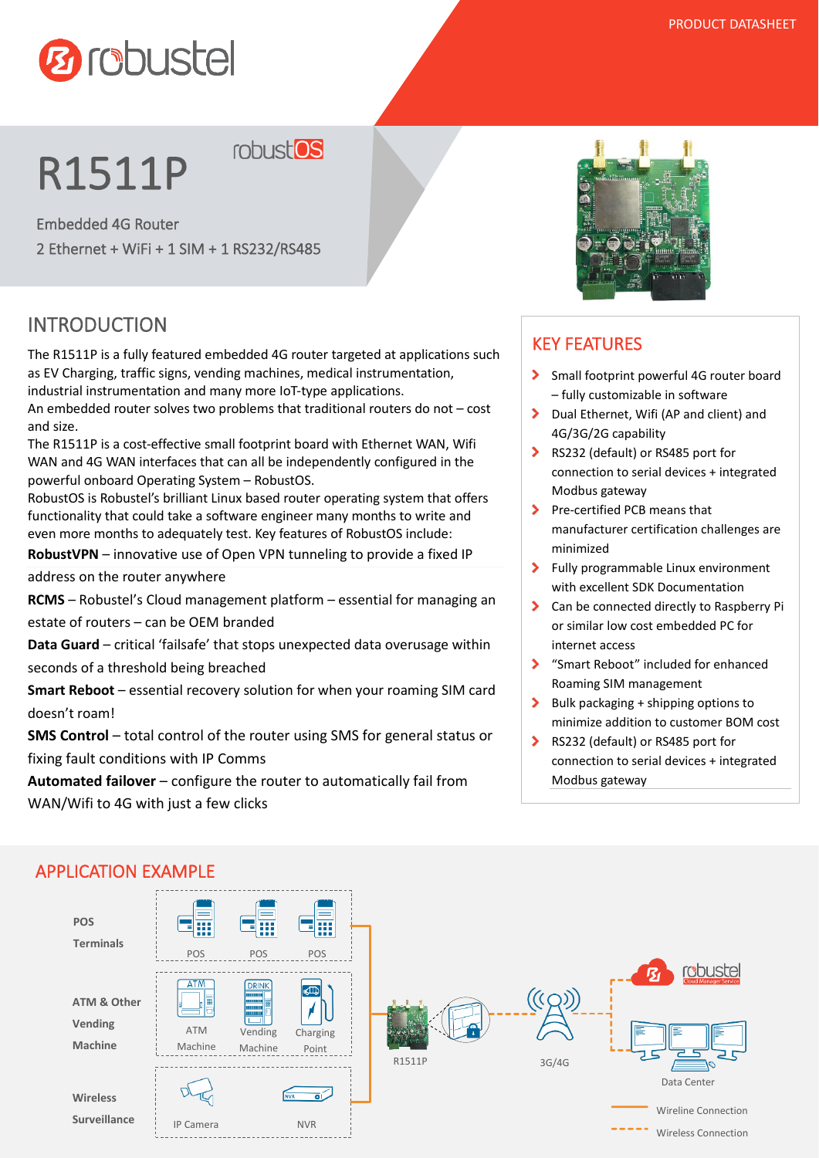

# R1511P

robust<sup>os</sup>

Embedded 4G Router 2 Ethernet + WiFi + 1 SIM + 1 RS232/RS485

# INTRODUCTION

The R1511P is a fully featured embedded 4G router targeted at applications such as EV Charging, traffic signs, vending machines, medical instrumentation, industrial instrumentation and many more IoT-type applications.

An embedded router solves two problems that traditional routers do not – cost and size.

The R1511P is a cost-effective small footprint board with Ethernet WAN, Wifi WAN and 4G WAN interfaces that can all be independently configured in the powerful onboard Operating System – RobustOS.

RobustOS is Robustel's brilliant Linux based router operating system that offers functionality that could take a software engineer many months to write and even more months to adequately test. Key features of RobustOS include:

**RobustVPN** – innovative use of Open VPN tunneling to provide a fixed IP

address on the router anywhere

**RCMS** – Robustel's Cloud management platform – essential for managing an estate of routers – can be OEM branded

**Data Guard** – critical 'failsafe' that stops unexpected data overusage within seconds of a threshold being breached

**Smart Reboot** – essential recovery solution for when your roaming SIM card doesn't roam!

**SMS Control** – total control of the router using SMS for general status or fixing fault conditions with IP Comms

**Automated failover** – configure the router to automatically fail from WAN/Wifi to 4G with just a few clicks



## KEY FEATURES

- $\blacktriangleright$ Small footprint powerful 4G router board – fully customizable in software
- Dual Ethernet, Wifi (AP and client) and 4G/3G/2G capability
- ▶ RS232 (default) or RS485 port for connection to serial devices + integrated Modbus gateway
- Pre-certified PCB means that manufacturer certification challenges are minimized
- $\blacktriangleright$ Fully programmable Linux environment with excellent SDK Documentation
- Š Can be connected directly to Raspberry Pi or similar low cost embedded PC for internet access
- S "Smart Reboot" included for enhanced Roaming SIM management
- $\blacktriangleright$  Bulk packaging + shipping options to minimize addition to customer BOM cost
- RS232 (default) or RS485 port for connection to serial devices + integrated Modbus gateway



### APPLICATION EXAMPLE